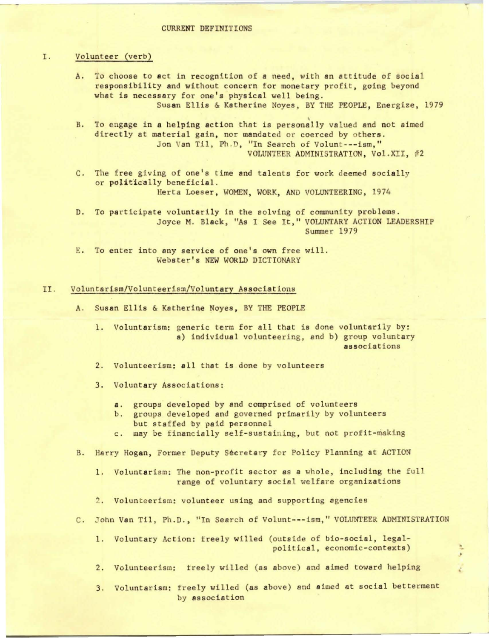## I. Volunteer (verb)

- A. To choose to act in recognition of **a** need, with an attitude of social responsibility and without concern for monetary profit, going beyond what is necessary for one's physical well being. Susan Ellis & Katherine Noyes, BY THE PEOPLE, Energize, 1979
- B. To engage in a helping action that is personally valued and not aimed directly at material gain, nor mandated or coerced by others. Jon Van Til, Ph.D, "In Search of Volunt---ism," VOLUNTEER ADMINISTRATION, Vol.XII, #2
- C. The free giving of one's time and talents for work deemed socially or politically beneficial. Herta Loeser, WOMEN, WORK, AND VOLUNTEERING, 1974
- D. To participate voluntarily in the solving of community problems. Joyce M. Black, "As I See It," VOLUNTARY ACTION LEADERSHIP Summer 1979
- E. To enter into any service of one's own free will. Webster's NEW WORLD DICTIONARY

## II. Voluntarism/Volunteerism/Voluntary Associations

A. Susan Ellis & Katherine Noyes, BY THE PEOPLE

1. Voluntarism: generic term for all that is done voluntarily by: a) individual volunteering, and b) group voluntary associations

- 2. Volunteerism: all that is done by volunteers
- 3. Voluntary Associations:
	- **a.** groups developed by and comprised of volunteers
	- b. groups developed and governed primarily by volunteers but staffed by paid personnel
	- c. may be financially self-sustaining, but not profit-making
- B. Harry Hogan, Former Deputy Secretary for Policy Planning at ACTION
	- 1. Voluntarism: The non-profit sector as **a** whole, including the full range of voluntary social welfare organizations
	- 2. Volunteerism: volunteer using and supporting agencies
- C. John Van Til, Ph.D., "In Search of Volunt---ism," VOLUNTEER ADMINISTRATION
	- 1. Voluntary Action: treely willed (outside of bio-social, legalpolitical, economic-contexts)
	- 2. Volunteerism: treely willed (as above) and aimed toward helping
	- 3. Voluntarism: freely willed (as above) and aimed at social betterment by association